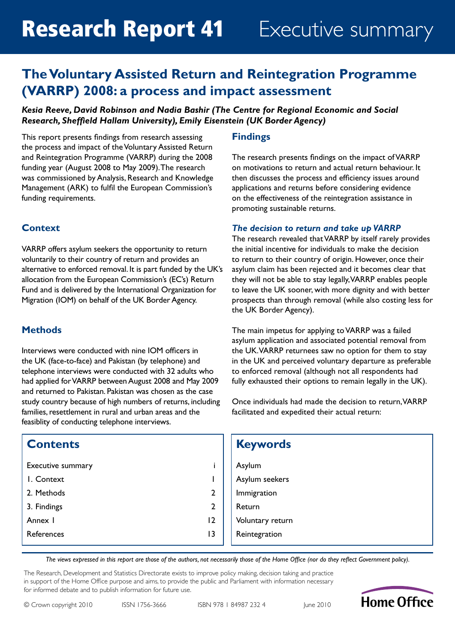# **The Voluntary Assisted Return and Reintegration Programme (VARRP) 2008: a process and impact assessment**

### *Kesia Reeve, David Robinson and Nadia Bashir (The Centre for Regional Economic and Social Research, Sheffield Hallam University), Emily Eisenstein (UK Border Agency)*

This report presents findings from research assessing the process and impact of the Voluntary Assisted Return and Reintegration Programme (VARRP) during the 2008 funding year (August 2008 to May 2009). The research was commissioned by Analysis, Research and Knowledge Management (ARK) to fulfil the European Commission's funding requirements.

### **Context**

VARRP offers asylum seekers the opportunity to return voluntarily to their country of return and provides an alternative to enforced removal. It is part funded by the UK's allocation from the European Commission's (EC's) Return Fund and is delivered by the International Organization for Migration (IOM) on behalf of the UK Border Agency.

### **Methods**

Interviews were conducted with nine IOM officers in the UK (face-to-face) and Pakistan (by telephone) and telephone interviews were conducted with 32 adults who had applied for VARRP between August 2008 and May 2009 and returned to Pakistan. Pakistan was chosen as the case study country because of high numbers of returns, including families, resettlement in rural and urban areas and the feasiblity of conducting telephone interviews.

### **Contents**

| Executive summary |               |
|-------------------|---------------|
| I. Context        | I             |
| 2. Methods        | 2             |
| 3. Findings       | $\mathcal{P}$ |
| Annex I           | 12            |
| References        | 13            |

### **Findings**

The research presents findings on the impact of VARRP on motivations to return and actual return behaviour. It then discusses the process and efficiency issues around applications and returns before considering evidence on the effectiveness of the reintegration assistance in promoting sustainable returns.

### *The decision to return and take up VARRP*

The research revealed that VARRP by itself rarely provides the initial incentive for individuals to make the decision to return to their country of origin. However, once their asylum claim has been rejected and it becomes clear that they will not be able to stay legally, VARRP enables people to leave the UK sooner, with more dignity and with better prospects than through removal (while also costing less for the UK Border Agency).

The main impetus for applying to VARRP was a failed asylum application and associated potential removal from the UK. VARRP returnees saw no option for them to stay in the UK and perceived voluntary departure as preferable to enforced removal (although not all respondents had fully exhausted their options to remain legally in the UK).

Once individuals had made the decision to return, VARRP facilitated and expedited their actual return:

|                | <b>Keywords</b>  |
|----------------|------------------|
| i              | Asylum           |
| ı              | Asylum seekers   |
| $\overline{2}$ | Immigration      |
| $\overline{2}$ | Return           |
| 12             | Voluntary return |
| 3              | Reintegration    |

*The views expressed in this report are those of the authors, not necessarily those of the Home Office (nor do they reflect Government policy).*

The Research, Development and Statistics Directorate exists to improve policy making, decision taking and practice in support of the Home Office purpose and aims, to provide the public and Parliament with information necessary for informed debate and to publish information for future use.

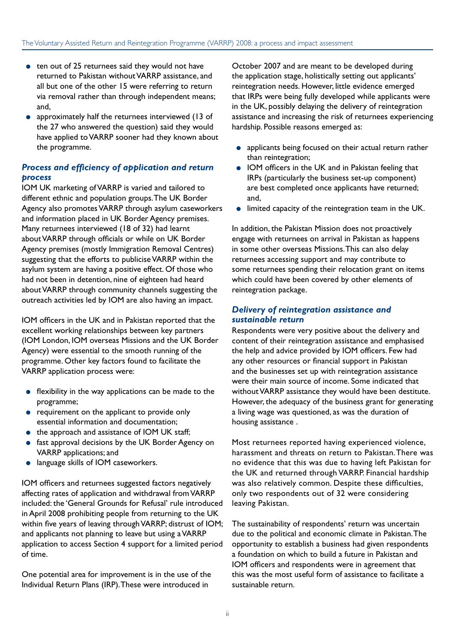- ten out of 25 returnees said they would not have returned to Pakistan without VARRP assistance, and all but one of the other 15 were referring to return via removal rather than through independent means; and,
- approximately half the returnees interviewed (13 of the 27 who answered the question) said they would have applied to VARRP sooner had they known about the programme.

### *Process and efficiency of application and return process*

IOM UK marketing of VARRP is varied and tailored to different ethnic and population groups. The UK Border Agency also promotes VARRP through asylum caseworkers and information placed in UK Border Agency premises. Many returnees interviewed (18 of 32) had learnt about VARRP through officials or while on UK Border Agency premises (mostly Immigration Removal Centres) suggesting that the efforts to publicise VARRP within the asylum system are having a positive effect. Of those who had not been in detention, nine of eighteen had heard about VARRP through community channels suggesting the outreach activities led by IOM are also having an impact.

IOM officers in the UK and in Pakistan reported that the excellent working relationships between key partners (IOM London, IOM overseas Missions and the UK Border Agency) were essential to the smooth running of the programme. Other key factors found to facilitate the VARRP application process were:

- flexibility in the way applications can be made to the programme;
- requirement on the applicant to provide only essential information and documentation;
- the approach and assistance of IOM UK staff;
- fast approval decisions by the UK Border Agency on VARRP applications; and
- language skills of IOM caseworkers.

IOM officers and returnees suggested factors negatively affecting rates of application and withdrawal from VARRP included: the 'General Grounds for Refusal' rule introduced in April 2008 prohibiting people from returning to the UK within five years of leaving through VARRP; distrust of IOM; and applicants not planning to leave but using a VARRP application to access Section 4 support for a limited period of time.

One potential area for improvement is in the use of the Individual Return Plans (IRP). These were introduced in

October 2007 and are meant to be developed during the application stage, holistically setting out applicants' reintegration needs. However, little evidence emerged that IRPs were being fully developed while applicants were in the UK, possibly delaying the delivery of reintegration assistance and increasing the risk of returnees experiencing hardship. Possible reasons emerged as:

- applicants being focused on their actual return rather than reintegration;
- IOM officers in the UK and in Pakistan feeling that IRPs (particularly the business set-up component) are best completed once applicants have returned; and,
- limited capacity of the reintegration team in the UK.

In addition, the Pakistan Mission does not proactively engage with returnees on arrival in Pakistan as happens in some other overseas Missions. This can also delay returnees accessing support and may contribute to some returnees spending their relocation grant on items which could have been covered by other elements of reintegration package.

#### *Delivery of reintegration assistance and sustainable return*

Respondents were very positive about the delivery and content of their reintegration assistance and emphasised the help and advice provided by IOM officers. Few had any other resources or financial support in Pakistan and the businesses set up with reintegration assistance were their main source of income. Some indicated that without VARRP assistance they would have been destitute. However, the adequacy of the business grant for generating a living wage was questioned, as was the duration of housing assistance .

Most returnees reported having experienced violence, harassment and threats on return to Pakistan. There was no evidence that this was due to having left Pakistan for the UK and returned through VARRP. Financial hardship was also relatively common. Despite these difficulties, only two respondents out of 32 were considering leaving Pakistan.

The sustainability of respondents' return was uncertain due to the political and economic climate in Pakistan. The opportunity to establish a business had given respondents a foundation on which to build a future in Pakistan and IOM officers and respondents were in agreement that this was the most useful form of assistance to facilitate a sustainable return.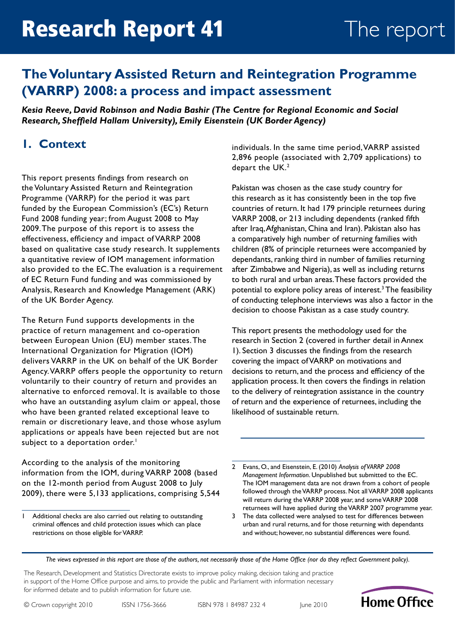# **The Voluntary Assisted Return and Reintegration Programme (VARRP) 2008: a process and impact assessment**

*Kesia Reeve, David Robinson and Nadia Bashir (The Centre for Regional Economic and Social Research, Sheffield Hallam University), Emily Eisenstein (UK Border Agency)*

## **1. Context**

This report presents findings from research on the Voluntary Assisted Return and Reintegration Programme (VARRP) for the period it was part funded by the European Commission's (EC's) Return Fund 2008 funding year; from August 2008 to May 2009. The purpose of this report is to assess the effectiveness, efficiency and impact of VARRP 2008 based on qualitative case study research. It supplements a quantitative review of IOM management information also provided to the EC. The evaluation is a requirement of EC Return Fund funding and was commissioned by Analysis, Research and Knowledge Management (ARK) of the UK Border Agency.

The Return Fund supports developments in the practice of return management and co-operation between European Union (EU) member states. The International Organization for Migration (IOM) delivers VARRP in the UK on behalf of the UK Border Agency. VARRP offers people the opportunity to return voluntarily to their country of return and provides an alternative to enforced removal. It is available to those who have an outstanding asylum claim or appeal, those who have been granted related exceptional leave to remain or discretionary leave, and those whose asylum applications or appeals have been rejected but are not subject to a deportation order.<sup>1</sup>

According to the analysis of the monitoring information from the IOM, during VARRP 2008 (based on the 12-month period from August 2008 to July 2009), there were 5,133 applications, comprising 5,544 individuals. In the same time period, VARRP assisted 2,896 people (associated with 2,709 applications) to depart the UK.<sup>2</sup>

Pakistan was chosen as the case study country for this research as it has consistently been in the top five countries of return. It had 179 principle returnees during VARRP 2008, or 213 including dependents (ranked fifth after Iraq, Afghanistan, China and Iran). Pakistan also has a comparatively high number of returning families with children (8% of principle returnees were accompanied by dependants, ranking third in number of families returning after Zimbabwe and Nigeria), as well as including returns to both rural and urban areas. These factors provided the potential to explore policy areas of interest.<sup>3</sup> The feasibility of conducting telephone interviews was also a factor in the decision to choose Pakistan as a case study country.

This report presents the methodology used for the research in Section 2 (covered in further detail in Annex 1). Section 3 discusses the findings from the research covering the impact of VARRP on motivations and decisions to return, and the process and efficiency of the application process. It then covers the findings in relation to the delivery of reintegration assistance in the country of return and the experience of returnees, including the likelihood of sustainable return.

*The views expressed in this report are those of the authors, not necessarily those of the Home Office (nor do they reflect Government policy).*

The Research, Development and Statistics Directorate exists to improve policy making, decision taking and practice in support of the Home Office purpose and aims, to provide the public and Parliament with information necessary for informed debate and to publish information for future use.

ISBN 978 1 84987 232 4



<sup>1</sup> Additional checks are also carried out relating to outstanding criminal offences and child protection issues which can place restrictions on those eligible for VARRP.

<sup>2</sup> Evans, O., and Eisenstein, E. (2010) *Analysis of VARRP 2008 Management Information*. Unpublished but submitted to the EC. The IOM management data are not drawn from a cohort of people followed through the VARRP process. Not all VARRP 2008 applicants will return during the VARRP 2008 year, and some VARRP 2008 returnees will have applied during the VARRP 2007 programme year.

<sup>3</sup> The data collected were analysed to test for differences between urban and rural returns, and for those returning with dependants and without; however, no substantial differences were found.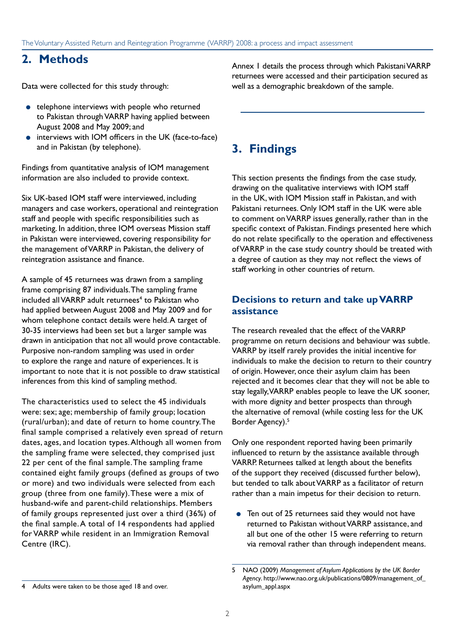## **2. Methods**

Data were collected for this study through:

- telephone interviews with people who returned to Pakistan through VARRP having applied between August 2008 and May 2009; and
- interviews with IOM officers in the UK (face-to-face) and in Pakistan (by telephone).

Findings from quantitative analysis of IOM management information are also included to provide context.

Six UK-based IOM staff were interviewed, including managers and case workers, operational and reintegration staff and people with specific responsibilities such as marketing. In addition, three IOM overseas Mission staff in Pakistan were interviewed, covering responsibility for the management of VARRP in Pakistan, the delivery of reintegration assistance and finance.

A sample of 45 returnees was drawn from a sampling frame comprising 87 individuals. The sampling frame included all VARRP adult returnees<sup>4</sup> to Pakistan who had applied between August 2008 and May 2009 and for whom telephone contact details were held. A target of 30-35 interviews had been set but a larger sample was drawn in anticipation that not all would prove contactable. Purposive non-random sampling was used in order to explore the range and nature of experiences. It is important to note that it is not possible to draw statistical inferences from this kind of sampling method.

The characteristics used to select the 45 individuals were: sex; age; membership of family group; location (rural/urban); and date of return to home country. The final sample comprised a relatively even spread of return dates, ages, and location types. Although all women from the sampling frame were selected, they comprised just 22 per cent of the final sample. The sampling frame contained eight family groups (defined as groups of two or more) and two individuals were selected from each group (three from one family). These were a mix of husband-wife and parent-child relationships. Members of family groups represented just over a third (36%) of the final sample. A total of 14 respondents had applied for VARRP while resident in an Immigration Removal Centre (IRC).

Annex 1 details the process through which Pakistani VARRP returnees were accessed and their participation secured as well as a demographic breakdown of the sample.

# **3. Findings**

This section presents the findings from the case study, drawing on the qualitative interviews with IOM staff in the UK, with IOM Mission staff in Pakistan, and with Pakistani returnees. Only IOM staff in the UK were able to comment on VARRP issues generally, rather than in the specific context of Pakistan. Findings presented here which do not relate specifically to the operation and effectiveness of VARRP in the case study country should be treated with a degree of caution as they may not reflect the views of staff working in other countries of return.

### **Decisions to return and take up VARRP assistance**

The research revealed that the effect of the VARRP programme on return decisions and behaviour was subtle. VARRP by itself rarely provides the initial incentive for individuals to make the decision to return to their country of origin. However, once their asylum claim has been rejected and it becomes clear that they will not be able to stay legally, VARRP enables people to leave the UK sooner, with more dignity and better prospects than through the alternative of removal (while costing less for the UK Border Agency).<sup>5</sup>

Only one respondent reported having been primarily influenced to return by the assistance available through VARRP. Returnees talked at length about the benefits of the support they received (discussed further below), but tended to talk about VARRP as a facilitator of return rather than a main impetus for their decision to return.

● Ten out of 25 returnees said they would not have returned to Pakistan without VARRP assistance, and all but one of the other 15 were referring to return via removal rather than through independent means.

<sup>5</sup> NAO (2009) *Management of Asylum Applications by the UK Border Agency*. [http://www.nao.org.uk/publications/0809/management\\_of\\_](http://www.nao.org.uk/publications/0809/management_of_asylum_appl.aspx) [asylum\\_appl.aspx](http://www.nao.org.uk/publications/0809/management_of_asylum_appl.aspx)

<sup>4</sup> Adults were taken to be those aged 18 and over.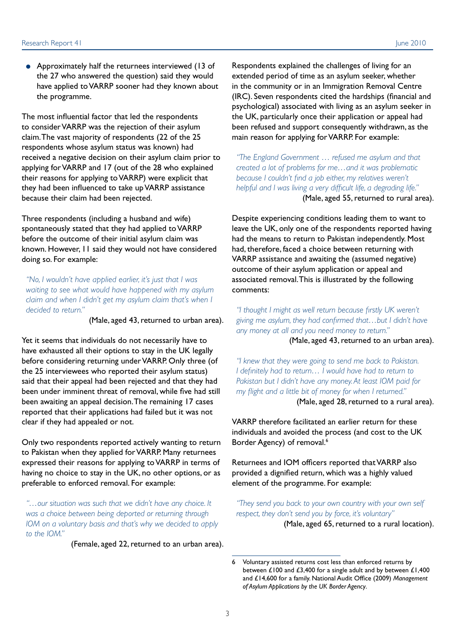● Approximately half the returnees interviewed (13 of the 27 who answered the question) said they would have applied to VARRP sooner had they known about the programme.

The most influential factor that led the respondents to consider VARRP was the rejection of their asylum claim. The vast majority of respondents (22 of the 25 respondents whose asylum status was known) had received a negative decision on their asylum claim prior to applying for VARRP and 17 (out of the 28 who explained their reasons for applying to VARRP) were explicit that they had been influenced to take up VARRP assistance because their claim had been rejected.

Three respondents (including a husband and wife) spontaneously stated that they had applied to VARRP before the outcome of their initial asylum claim was known. However, 11 said they would not have considered doing so. For example:

*"No, I wouldn't have applied earlier, it's just that I was waiting to see what would have happened with my asylum claim and when I didn't get my asylum claim that's when I decided to return."*

(Male, aged 43, returned to urban area).

Yet it seems that individuals do not necessarily have to have exhausted all their options to stay in the UK legally before considering returning under VARRP. Only three (of the 25 interviewees who reported their asylum status) said that their appeal had been rejected and that they had been under imminent threat of removal, while five had still been awaiting an appeal decision. The remaining 17 cases reported that their applications had failed but it was not clear if they had appealed or not.

Only two respondents reported actively wanting to return to Pakistan when they applied for VARRP. Many returnees expressed their reasons for applying to VARRP in terms of having no choice to stay in the UK, no other options, or as preferable to enforced removal. For example:

*"…our situation was such that we didn't have any choice. It was a choice between being deported or returning through IOM on a voluntary basis and that's why we decided to apply to the IOM."* 

(Female, aged 22, returned to an urban area).

Respondents explained the challenges of living for an extended period of time as an asylum seeker, whether in the community or in an Immigration Removal Centre (IRC). Seven respondents cited the hardships (financial and psychological) associated with living as an asylum seeker in the UK, particularly once their application or appeal had been refused and support consequently withdrawn, as the main reason for applying for VARRP. For example:

*"The England Government* … *refused me asylum and that created a lot of problems for me…and it was problematic because I couldn't find a job either, my relatives weren't helpful and I was living a very difficult life, a degrading life."*  (Male, aged 55, returned to rural area).

Despite experiencing conditions leading them to want to leave the UK, only one of the respondents reported having had the means to return to Pakistan independently. Most had, therefore, faced a choice between returning with VARRP assistance and awaiting the (assumed negative) outcome of their asylum application or appeal and associated removal. This is illustrated by the following comments:

*"I thought I might as well return because firstly UK weren't giving me asylum, they had confirmed that…but I didn't have any money at all and you need money to return."*  (Male, aged 43, returned to an urban area).

*"I knew that they were going to send me back to Pakistan. I definitely had to return… I would have had to return to Pakistan but I didn't have any money. At least IOM paid for my flight and a little bit of money for when I returned."*  (Male, aged 28, returned to a rural area).

VARRP therefore facilitated an earlier return for these individuals and avoided the process (and cost to the UK Border Agency) of removal.<sup>6</sup>

Returnees and IOM officers reported that VARRP also provided a dignified return, which was a highly valued element of the programme. For example:

*"They send you back to your own country with your own self respect, they don't send you by force, it's voluntary"* 

(Male, aged 65, returned to a rural location).

<sup>6</sup> Voluntary assisted returns cost less than enforced returns by between £100 and £3,400 for a single adult and by between £1,400 and £14,600 for a family. National Audit Office (2009) *Management of Asylum Applications by the UK Border Agency*.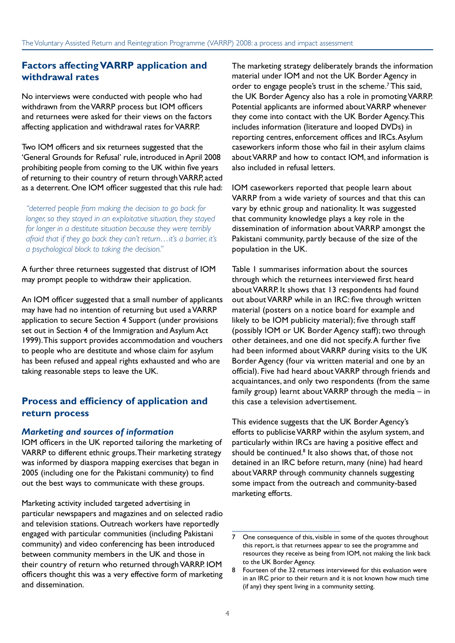### **Factors affecting VARRP application and withdrawal rates**

No interviews were conducted with people who had withdrawn from the VARRP process but IOM officers and returnees were asked for their views on the factors affecting application and withdrawal rates for VARRP.

Two IOM officers and six returnees suggested that the 'General Grounds for Refusal' rule, introduced in April 2008 prohibiting people from coming to the UK within five years of returning to their country of return through VARRP, acted as a deterrent. One IOM officer suggested that this rule had:

*"deterred people from making the decision to go back for longer, so they stayed in an exploitative situation, they stayed for longer in a destitute situation because they were terribly afraid that if they go back they can't return…it's a barrier, it's a psychological block to taking the decision."*

A further three returnees suggested that distrust of IOM may prompt people to withdraw their application.

An IOM officer suggested that a small number of applicants may have had no intention of returning but used a VARRP application to secure Section 4 Support (under provisions set out in Section 4 of the Immigration and Asylum Act 1999). This support provides accommodation and vouchers to people who are destitute and whose claim for asylum has been refused and appeal rights exhausted and who are taking reasonable steps to leave the UK.

### **Process and efficiency of application and return process**

#### *Marketing and sources of information*

IOM officers in the UK reported tailoring the marketing of VARRP to different ethnic groups. Their marketing strategy was informed by diaspora mapping exercises that began in 2005 (including one for the Pakistani community) to find out the best ways to communicate with these groups.

Marketing activity included targeted advertising in particular newspapers and magazines and on selected radio and television stations. Outreach workers have reportedly engaged with particular communities (including Pakistani community) and video conferencing has been introduced between community members in the UK and those in their country of return who returned through VARRP. IOM officers thought this was a very effective form of marketing and dissemination.

The marketing strategy deliberately brands the information material under IOM and not the UK Border Agency in order to engage people's trust in the scheme.<sup>7</sup> This said, the UK Border Agency also has a role in promoting VARRP. Potential applicants are informed about VARRP whenever they come into contact with the UK Border Agency. This includes information (literature and looped DVDs) in reporting centres, enforcement offices and IRCs. Asylum caseworkers inform those who fail in their asylum claims about VARRP and how to contact IOM, and information is also included in refusal letters.

IOM caseworkers reported that people learn about VARRP from a wide variety of sources and that this can vary by ethnic group and nationality. It was suggested that community knowledge plays a key role in the dissemination of information about VARRP amongst the Pakistani community, partly because of the size of the population in the UK.

Table 1 summarises information about the sources through which the returnees interviewed first heard about VARRP. It shows that 13 respondents had found out about VARRP while in an IRC: five through written material (posters on a notice board for example and likely to be IOM publicity material); five through staff (possibly IOM or UK Border Agency staff); two through other detainees, and one did not specify. A further five had been informed about VARRP during visits to the UK Border Agency (four via written material and one by an official). Five had heard about VARRP through friends and acquaintances, and only two respondents (from the same family group) learnt about VARRP through the media – in this case a television advertisement.

This evidence suggests that the UK Border Agency's efforts to publicise VARRP within the asylum system, and particularly within IRCs are having a positive effect and should be continued.<sup>8</sup> It also shows that, of those not detained in an IRC before return, many (nine) had heard about VARRP through community channels suggesting some impact from the outreach and community-based marketing efforts.

<sup>7</sup> One consequence of this, visible in some of the quotes throughout this report, is that returnees appear to see the programme and resources they receive as being from IOM, not making the link back to the UK Border Agency.

Fourteen of the 32 returnees interviewed for this evaluation were in an IRC prior to their return and it is not known how much time (if any) they spent living in a community setting.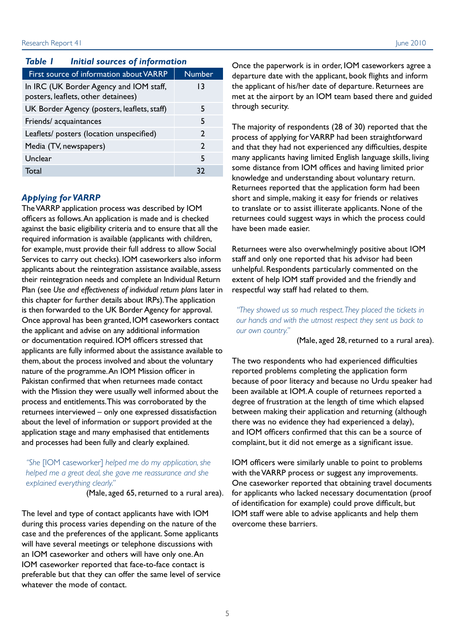#### *Table 1 Initial sources of information*

| First source of information about VARRP                                        | <b>Number</b> |
|--------------------------------------------------------------------------------|---------------|
| In IRC (UK Border Agency and IOM staff,<br>posters, leaflets, other detainees) | 13            |
| UK Border Agency (posters, leaflets, staff)                                    | 5             |
| Friends/acquaintances                                                          | 5             |
| Leaflets/ posters (location unspecified)                                       | $\mathcal{P}$ |
| Media (TV, newspapers)                                                         | $\mathcal{P}$ |
| Unclear                                                                        | 5             |
| Total                                                                          | 32            |

#### *Applying for VARRP*

The VARRP application process was described by IOM officers as follows. An application is made and is checked against the basic eligibility criteria and to ensure that all the required information is available (applicants with children, for example, must provide their full address to allow Social Services to carry out checks). IOM caseworkers also inform applicants about the reintegration assistance available, assess their reintegration needs and complete an Individual Return Plan (see *Use and effectiveness of individual return plans* later in this chapter for further details about IRPs). The application is then forwarded to the UK Border Agency for approval. Once approval has been granted, IOM caseworkers contact the applicant and advise on any additional information or documentation required. IOM officers stressed that applicants are fully informed about the assistance available to them, about the process involved and about the voluntary nature of the programme. An IOM Mission officer in Pakistan confirmed that when returnees made contact with the Mission they were usually well informed about the process and entitlements. This was corroborated by the returnees interviewed – only one expressed dissatisfaction about the level of information or support provided at the application stage and many emphasised that entitlements and processes had been fully and clearly explained.

#### *"She* [IOM caseworker] *helped me do my application, she helped me a great deal, she gave me reassurance and she explained everything clearly."*

(Male, aged 65, returned to a rural area).

The level and type of contact applicants have with IOM during this process varies depending on the nature of the case and the preferences of the applicant. Some applicants will have several meetings or telephone discussions with an IOM caseworker and others will have only one. An IOM caseworker reported that face-to-face contact is preferable but that they can offer the same level of service whatever the mode of contact.

Once the paperwork is in order, IOM caseworkers agree a departure date with the applicant, book flights and inform the applicant of his/her date of departure. Returnees are met at the airport by an IOM team based there and guided through security.

The majority of respondents (28 of 30) reported that the process of applying for VARRP had been straightforward and that they had not experienced any difficulties, despite many applicants having limited English language skills, living some distance from IOM offices and having limited prior knowledge and understanding about voluntary return. Returnees reported that the application form had been short and simple, making it easy for friends or relatives to translate or to assist illiterate applicants. None of the returnees could suggest ways in which the process could have been made easier.

Returnees were also overwhelmingly positive about IOM staff and only one reported that his advisor had been unhelpful. Respondents particularly commented on the extent of help IOM staff provided and the friendly and respectful way staff had related to them.

*"They showed us so much respect. They placed the tickets in our hands and with the utmost respect they sent us back to our own country."* 

(Male, aged 28, returned to a rural area).

The two respondents who had experienced difficulties reported problems completing the application form because of poor literacy and because no Urdu speaker had been available at IOM. A couple of returnees reported a degree of frustration at the length of time which elapsed between making their application and returning (although there was no evidence they had experienced a delay), and IOM officers confirmed that this can be a source of complaint, but it did not emerge as a significant issue.

IOM officers were similarly unable to point to problems with the VARRP process or suggest any improvements. One caseworker reported that obtaining travel documents for applicants who lacked necessary documentation (proof of identification for example) could prove difficult, but IOM staff were able to advise applicants and help them overcome these barriers.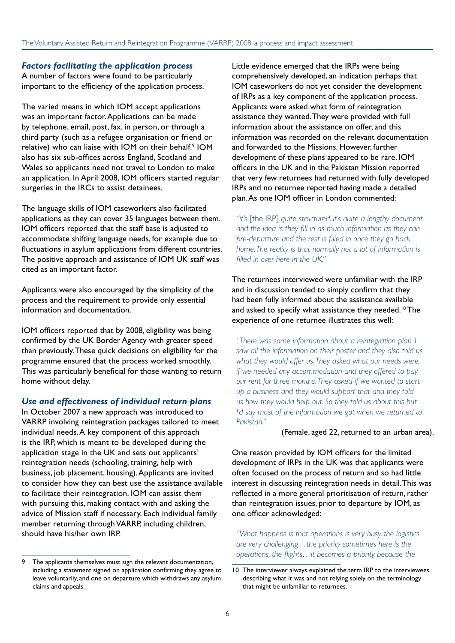#### *Factors facilitating the application process*

A number of factors were found to be particularly important to the efficiency of the application process.

The varied means in which IOM accept applications was an important factor. Applications can be made by telephone, email, post, fax, in person, or through a third party (such as a refugee organisation or friend or relative) who can liaise with IOM on their behalf.<sup>9</sup> IOM also has six sub-offices across England, Scotland and Wales so applicants need not travel to London to make an application. In April 2008, IOM officers started regular surgeries in the IRCs to assist detainees.

The language skills of IOM caseworkers also facilitated applications as they can cover 35 languages between them. IOM officers reported that the staff base is adjusted to accommodate shifting language needs, for example due to fluctuations in asylum applications from different countries. The positive approach and assistance of IOM UK staff was cited as an important factor.

Applicants were also encouraged by the simplicity of the process and the requirement to provide only essential information and documentation.

IOM officers reported that by 2008, eligibility was being confirmed by the UK Border Agency with greater speed than previously. These quick decisions on eligibility for the programme ensured that the process worked smoothly. This was particularly beneficial for those wanting to return home without delay.

#### *Use and effectiveness of individual return plans*

In October 2007 a new approach was introduced to VARRP involving reintegration packages tailored to meet individual needs. A key component of this approach is the IRP, which is meant to be developed during the application stage in the UK and sets out applicants' reintegration needs (schooling, training, help with business, job placement, housing). Applicants are invited to consider how they can best use the assistance available to facilitate their reintegration. IOM can assist them with pursuing this, making contact with and asking the advice of Mission staff if necessary. Each individual family member returning through VARRP, including children, should have his/her own IRP.

Little evidence emerged that the IRPs were being comprehensively developed, an indication perhaps that IOM caseworkers do not yet consider the development of IRPs as a key component of the application process. Applicants were asked what form of reintegration assistance they wanted. They were provided with full information about the assistance on offer, and this information was recorded on the relevant documentation and forwarded to the Missions. However, further development of these plans appeared to be rare. IOM officers in the UK and in the Pakistan Mission reported that very few returnees had returned with fully developed IRPs and no returnee reported having made a detailed plan. As one IOM officer in London commented:

*"it's* [the IRP] *quite structured, it's quite a lengthy document and the idea is they fill in as much information as they can pre-departure and the rest is filled in once they go back home. The reality is that normally not a lot of information is filled in over here in the UK."*

The returnees interviewed were unfamiliar with the IRP and in discussion tended to simply confirm that they had been fully informed about the assistance available and asked to specify what assistance they needed.<sup>10</sup> The experience of one returnee illustrates this well:

*"There was some information about a reintegration plan. I saw all the information on their poster and they also told us what they would offer us. They asked what our needs were, if we needed any accommodation and they offered to pay our rent for three months. They asked if we wanted to start up a business and they would support that and they told us how they would help out. So they told us about this but I'd say most of the information we got when we returned to Pakistan."* 

#### (Female, aged 22, returned to an urban area).

One reason provided by IOM officers for the limited development of IRPs in the UK was that applicants were often focused on the process of return and so had little interest in discussing reintegration needs in detail. This was reflected in a more general prioritisation of return, rather than reintegration issues, prior to departure by IOM, as one officer acknowledged:

*"What happens is that operations is very busy, the logistics are very challenging…the priority sometimes here is the operations, the flights…it becomes a priority because the* 

<sup>9</sup> The applicants themselves must sign the relevant documentation, including a statement signed on application confirming they agree to leave voluntarily, and one on departure which withdraws any asylum claims and appeals.

<sup>10</sup> The interviewer always explained the term IRP to the interviewees, describing what it was and not relying solely on the terminology that might be unfamiliar to returnees.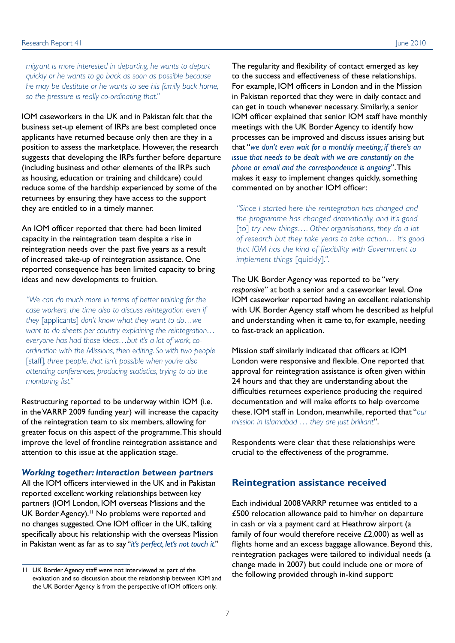*migrant is more interested in departing, he wants to depart quickly or he wants to go back as soon as possible because he may be destitute or he wants to see his family back home, so the pressure is really co-ordinating that."* 

IOM caseworkers in the UK and in Pakistan felt that the business set-up element of IRPs are best completed once applicants have returned because only then are they in a position to assess the marketplace. However, the research suggests that developing the IRPs further before departure (including business and other elements of the IRPs such as housing, education or training and childcare) could reduce some of the hardship experienced by some of the returnees by ensuring they have access to the support they are entitled to in a timely manner.

An IOM officer reported that there had been limited capacity in the reintegration team despite a rise in reintegration needs over the past five years as a result of increased take-up of reintegration assistance. One reported consequence has been limited capacity to bring ideas and new developments to fruition.

*"We can do much more in terms of better training for the case workers, the time also to discuss reintegration even if they* [applicants] *don't know what they want to do…we want to do sheets per country explaining the reintegration… everyone has had those ideas…but it's a lot of work, coordination with the Missions, then editing. So with two people*  [staff]*, three people, that isn't possible when you're also attending conferences, producing statistics, trying to do the monitoring list."*

Restructuring reported to be underway within IOM (i.e. in the VARRP 2009 funding year) will increase the capacity of the reintegration team to six members, allowing for greater focus on this aspect of the programme. This should improve the level of frontline reintegration assistance and attention to this issue at the application stage.

#### *Working together: interaction between partners*

All the IOM officers interviewed in the UK and in Pakistan reported excellent working relationships between key partners (IOM London, IOM overseas Missions and the UK Border Agency).<sup>11</sup> No problems were reported and no changes suggested. One IOM officer in the UK, talking specifically about his relationship with the overseas Mission in Pakistan went as far as to say "*it's perfect, let's not touch it*."

The regularity and flexibility of contact emerged as key to the success and effectiveness of these relationships. For example, IOM officers in London and in the Mission in Pakistan reported that they were in daily contact and can get in touch whenever necessary. Similarly, a senior IOM officer explained that senior IOM staff have monthly meetings with the UK Border Agency to identify how processes can be improved and discuss issues arising but that "*we don't even wait for a monthly meeting; if there's an issue that needs to be dealt with we are constantly on the phone or email and the correspondence is ongoing*". This makes it easy to implement changes quickly, something commented on by another IOM officer:

*"Since I started here the reintegration has changed and the programme has changed dramatically, and it's good*  [to] try new things.... Other organisations, they do a lot *of research but they take years to take action… it's good that IOM has the kind of flexibility with Government to implement things* [quickly]*.".*

The UK Border Agency was reported to be "*very responsive*" at both a senior and a caseworker level. One IOM caseworker reported having an excellent relationship with UK Border Agency staff whom he described as helpful and understanding when it came to, for example, needing to fast-track an application.

Mission staff similarly indicated that officers at IOM London were responsive and flexible. One reported that approval for reintegration assistance is often given within 24 hours and that they are understanding about the difficulties returnees experience producing the required documentation and will make efforts to help overcome these. IOM staff in London, meanwhile, reported that "*our mission in Islamabad* … *they are just brilliant*".

Respondents were clear that these relationships were crucial to the effectiveness of the programme.

### **Reintegration assistance received**

Each individual 2008 VARRP returnee was entitled to a £500 relocation allowance paid to him/her on departure in cash or via a payment card at Heathrow airport (a family of four would therefore receive £2,000) as well as flights home and an excess baggage allowance. Beyond this, reintegration packages were tailored to individual needs (a change made in 2007) but could include one or more of the following provided through in-kind support:

<sup>11</sup> UK Border Agency staff were not interviewed as part of the evaluation and so discussion about the relationship between IOM and the UK Border Agency is from the perspective of IOM officers only.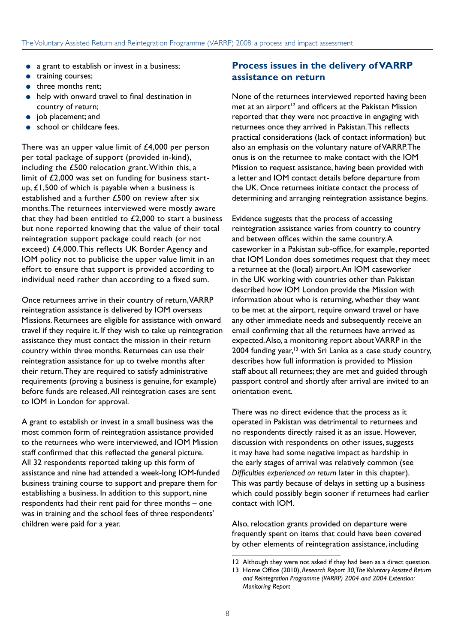- a grant to establish or invest in a business;
- training courses;
- three months rent;
- help with onward travel to final destination in country of return;
- job placement; and
- school or childcare fees.

There was an upper value limit of  $£4,000$  per person per total package of support (provided in-kind), including the £500 relocation grant. Within this, a limit of £2,000 was set on funding for business startup, £1,500 of which is payable when a business is established and a further £500 on review after six months. The returnees interviewed were mostly aware that they had been entitled to  $£2,000$  to start a business but none reported knowing that the value of their total reintegration support package could reach (or not exceed) £4,000. This reflects UK Border Agency and IOM policy not to publicise the upper value limit in an effort to ensure that support is provided according to individual need rather than according to a fixed sum.

Once returnees arrive in their country of return, VARRP reintegration assistance is delivered by IOM overseas Missions. Returnees are eligible for assistance with onward travel if they require it. If they wish to take up reintegration assistance they must contact the mission in their return country within three months. Returnees can use their reintegration assistance for up to twelve months after their return. They are required to satisfy administrative requirements (proving a business is genuine, for example) before funds are released. All reintegration cases are sent to IOM in London for approval.

A grant to establish or invest in a small business was the most common form of reintegration assistance provided to the returnees who were interviewed, and IOM Mission staff confirmed that this reflected the general picture. All 32 respondents reported taking up this form of assistance and nine had attended a week-long IOM-funded business training course to support and prepare them for establishing a business. In addition to this support, nine respondents had their rent paid for three months – one was in training and the school fees of three respondents' children were paid for a year.

### **Process issues in the delivery of VARRP assistance on return**

None of the returnees interviewed reported having been met at an airport<sup>12</sup> and officers at the Pakistan Mission reported that they were not proactive in engaging with returnees once they arrived in Pakistan. This reflects practical considerations (lack of contact information) but also an emphasis on the voluntary nature of VARRP. The onus is on the returnee to make contact with the IOM Mission to request assistance, having been provided with a letter and IOM contact details before departure from the UK. Once returnees initiate contact the process of determining and arranging reintegration assistance begins.

Evidence suggests that the process of accessing reintegration assistance varies from country to country and between offices within the same country. A caseworker in a Pakistan sub-office, for example, reported that IOM London does sometimes request that they meet a returnee at the (local) airport. An IOM caseworker in the UK working with countries other than Pakistan described how IOM London provide the Mission with information about who is returning, whether they want to be met at the airport, require onward travel or have any other immediate needs and subsequently receive an email confirming that all the returnees have arrived as expected. Also, a monitoring report about VARRP in the 2004 funding year, $13$  with Sri Lanka as a case study country, describes how full information is provided to Mission staff about all returnees; they are met and guided through passport control and shortly after arrival are invited to an orientation event.

There was no direct evidence that the process as it operated in Pakistan was detrimental to returnees and no respondents directly raised it as an issue. However, discussion with respondents on other issues, suggests it may have had some negative impact as hardship in the early stages of arrival was relatively common (see *Difficulties experienced on return* later in this chapter). This was partly because of delays in setting up a business which could possibly begin sooner if returnees had earlier contact with IOM.

Also, relocation grants provided on departure were frequently spent on items that could have been covered by other elements of reintegration assistance, including

<sup>12</sup> Although they were not asked if they had been as a direct question.

<sup>13</sup> Home Office (2010), *Research Report 30, The Voluntary Assisted Return and Reintegration Programme (VARRP) 2004 and 2004 Extension: Monitoring Report*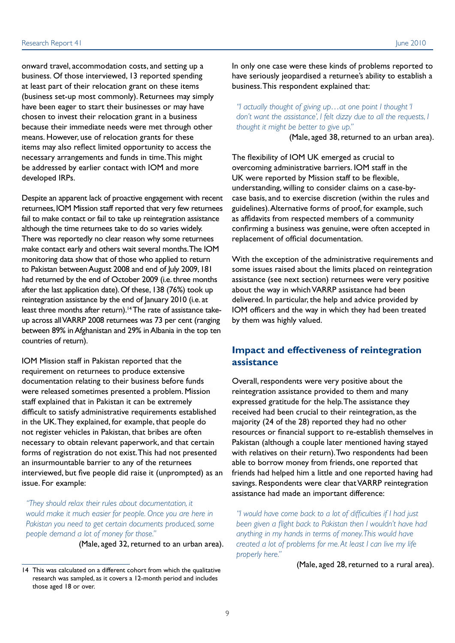onward travel, accommodation costs, and setting up a business. Of those interviewed, 13 reported spending at least part of their relocation grant on these items (business set-up most commonly). Returnees may simply have been eager to start their businesses or may have chosen to invest their relocation grant in a business because their immediate needs were met through other means. However, use of relocation grants for these items may also reflect limited opportunity to access the necessary arrangements and funds in time. This might be addressed by earlier contact with IOM and more developed IRPs.

Despite an apparent lack of proactive engagement with recent returnees, IOM Mission staff reported that very few returnees fail to make contact or fail to take up reintegration assistance although the time returnees take to do so varies widely. There was reportedly no clear reason why some returnees make contact early and others wait several months. The IOM monitoring data show that of those who applied to return to Pakistan between August 2008 and end of July 2009, 181 had returned by the end of October 2009 (i.e. three months after the last application date). Of these, 138 (76%) took up reintegration assistance by the end of January 2010 (i.e. at least three months after return).<sup>14</sup> The rate of assistance takeup across all VARRP 2008 returnees was 73 per cent (ranging between 89% in Afghanistan and 29% in Albania in the top ten countries of return).

IOM Mission staff in Pakistan reported that the requirement on returnees to produce extensive documentation relating to their business before funds were released sometimes presented a problem. Mission staff explained that in Pakistan it can be extremely difficult to satisfy administrative requirements established in the UK. They explained, for example, that people do not register vehicles in Pakistan, that bribes are often necessary to obtain relevant paperwork, and that certain forms of registration do not exist. This had not presented an insurmountable barrier to any of the returnees interviewed, but five people did raise it (unprompted) as an issue. For example:

*"They should relax their rules about documentation, it would make it much easier for people. Once you are here in*  Pakistan you need to get certain documents produced, some *people demand a lot of money for those."* 

(Male, aged 32, returned to an urban area).

In only one case were these kinds of problems reported to have seriously jeopardised a returnee's ability to establish a business. This respondent explained that:

*"I actually thought of giving up…at one point I thought 'I don't want the assistance', I felt dizzy due to all the requests, I thought it might be better to give up."* 

(Male, aged 38, returned to an urban area).

The flexibility of IOM UK emerged as crucial to overcoming administrative barriers. IOM staff in the UK were reported by Mission staff to be flexible, understanding, willing to consider claims on a case-bycase basis, and to exercise discretion (within the rules and guidelines). Alternative forms of proof, for example, such as affidavits from respected members of a community confirming a business was genuine, were often accepted in replacement of official documentation.

With the exception of the administrative requirements and some issues raised about the limits placed on reintegration assistance (see next section) returnees were very positive about the way in which VARRP assistance had been delivered. In particular, the help and advice provided by IOM officers and the way in which they had been treated by them was highly valued.

### **Impact and effectiveness of reintegration assistance**

Overall, respondents were very positive about the reintegration assistance provided to them and many expressed gratitude for the help. The assistance they received had been crucial to their reintegration, as the majority (24 of the 28) reported they had no other resources or financial support to re-establish themselves in Pakistan (although a couple later mentioned having stayed with relatives on their return). Two respondents had been able to borrow money from friends, one reported that friends had helped him a little and one reported having had savings. Respondents were clear that VARRP reintegration assistance had made an important difference:

*"I would have come back to a lot of difficulties if I had just been given a flight back to Pakistan then I wouldn't have had anything in my hands in terms of money. This would have created a lot of problems for me. At least I can live my life properly here."* 

(Male, aged 28, returned to a rural area).

<sup>14</sup> This was calculated on a different cohort from which the qualitative research was sampled, as it covers a 12-month period and includes those aged 18 or over.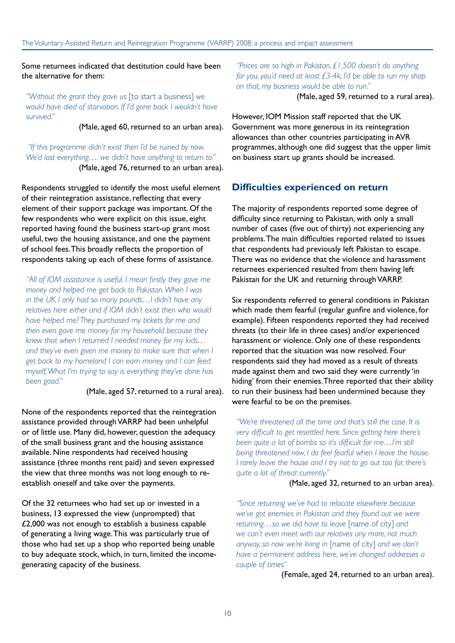#### Some returnees indicated that destitution could have been the alternative for them:

*"Without the grant they gave us* [to start a business] *we would have died of starvation. If I'd gone back I wouldn't have survived."* 

(Male, aged 60, returned to an urban area).

 *"If this programme didn't exist then I'd be ruined by now. We'd lost everything…. we didn't have anything to return to."*  (Male, aged 76, returned to an urban area).

Respondents struggled to identify the most useful element of their reintegration assistance, reflecting that every element of their support package was important. Of the few respondents who were explicit on this issue, eight reported having found the business start-up grant most useful, two the housing assistance, and one the payment of school fees. This broadly reflects the proportion of respondents taking up each of these forms of assistance.

*"All of IOM assistance is useful. I mean firstly they gave me money and helped me get back to Pakistan. When I was in the UK I only had so many pounds…I didn't have any relatives here either and if IOM didn't exist then who would have helped me? They purchased my tickets for me and then even gave me money for my household because they knew that when I returned I needed money for my kids… and they've even given me money to make sure that when I get back to my homeland I can earn money and I can feed myself, What I'm trying to say is everything they've done has been good."* 

(Male, aged 57, returned to a rural area).

None of the respondents reported that the reintegration assistance provided through VARRP had been unhelpful or of little use. Many did, however, question the adequacy of the small business grant and the housing assistance available. Nine respondents had received housing assistance (three months rent paid) and seven expressed the view that three months was not long enough to reestablish oneself and take over the payments.

Of the 32 returnees who had set up or invested in a business, 13 expressed the view (unprompted) that £2,000 was not enough to establish a business capable of generating a living wage. This was particularly true of those who had set up a shop who reported being unable to buy adequate stock, which, in turn, limited the incomegenerating capacity of the business.

*"Prices are so high in Pakistan, £1,500 doesn't do anything for you, you'd need at least £3-4k, I'd be able to run my shop on that, my business would be able to run."* 

(Male, aged 59, returned to a rural area).

However, IOM Mission staff reported that the UK Government was more generous in its reintegration allowances than other countries participating in AVR programmes, although one did suggest that the upper limit on business start up grants should be increased.

### **Difficulties experienced on return**

The majority of respondents reported some degree of difficulty since returning to Pakistan, with only a small number of cases (five out of thirty) not experiencing any problems. The main difficulties reported related to issues that respondents had previously left Pakistan to escape. There was no evidence that the violence and harassment returnees experienced resulted from them having left Pakistan for the UK and returning through VARRP.

Six respondents referred to general conditions in Pakistan which made them fearful (regular gunfire and violence, for example). Fifteen respondents reported they had received threats (to their life in three cases) and/or experienced harassment or violence. Only one of these respondents reported that the situation was now resolved. Four respondents said they had moved as a result of threats made against them and two said they were currently 'in hiding' from their enemies. Three reported that their ability to run their business had been undermined because they were fearful to be on the premises.

*"We're threatened all the time and that's still the case. It is very difficult to get resettled here. Since getting here there's been quite a lot of bombs so it's difficult for me…I'm still being threatened now, I do feel fearful when I leave the house. I rarely leave the house and I try not to go out too far, there's quite a lot of threat currently."* 

#### (Male, aged 32, returned to an urban area).

*"Since returning we've had to relocate elsewhere because we've got enemies in Pakistan and they found out we were returning…so we did have to leave* [name of city] *and we can't even meet with our relatives any more, not much anyway, so now we're living in* [name of city] *and we don't have a permanent address here, we've changed addresses a couple of times"* 

(Female, aged 24, returned to an urban area).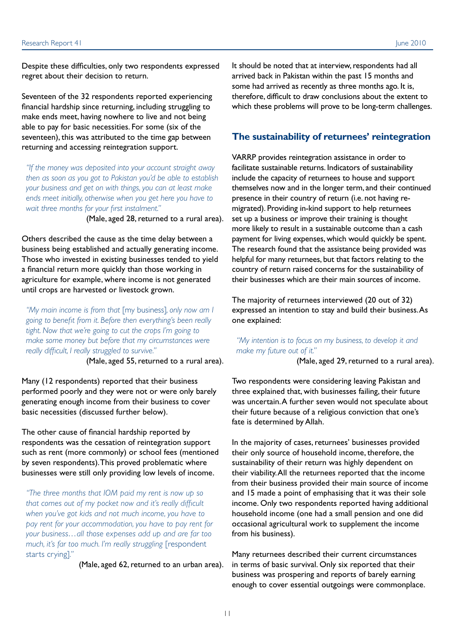Despite these difficulties, only two respondents expressed regret about their decision to return.

Seventeen of the 32 respondents reported experiencing financial hardship since returning, including struggling to make ends meet, having nowhere to live and not being able to pay for basic necessities. For some (six of the seventeen), this was attributed to the time gap between returning and accessing reintegration support.

*"If the money was deposited into your account straight away then as soon as you got to Pakistan you'd be able to establish your business and get on with things, you can at least make ends meet initially, otherwise when you get here you have to wait three months for your first instalment."* 

(Male, aged 28, returned to a rural area).

Others described the cause as the time delay between a business being established and actually generating income. Those who invested in existing businesses tended to yield a financial return more quickly than those working in agriculture for example, where income is not generated until crops are harvested or livestock grown.

*"My main income is from that* [my business]*, only now am I going to benefit from it. Before then everything's been really tight. Now that we're going to cut the crops I'm going to make some money but before that my circumstances were really difficult, I really struggled to survive."* 

(Male, aged 55, returned to a rural area).

Many (12 respondents) reported that their business performed poorly and they were not or were only barely generating enough income from their business to cover basic necessities (discussed further below).

The other cause of financial hardship reported by respondents was the cessation of reintegration support such as rent (more commonly) or school fees (mentioned by seven respondents). This proved problematic where businesses were still only providing low levels of income.

*"The three months that IOM paid my rent is now up so that comes out of my pocket now and it's really difficult when you've got kids and not much income, you have to pay rent for your accommodation, you have to pay rent for your business…all those expenses add up and are far too much, it's far too much. I'm really struggling* [respondent starts crying]*."* 

(Male, aged 62, returned to an urban area).

It should be noted that at interview, respondents had all arrived back in Pakistan within the past 15 months and some had arrived as recently as three months ago. It is, therefore, difficult to draw conclusions about the extent to which these problems will prove to be long-term challenges.

#### **The sustainability of returnees' reintegration**

VARRP provides reintegration assistance in order to facilitate sustainable returns. Indicators of sustainability include the capacity of returnees to house and support themselves now and in the longer term, and their continued presence in their country of return (i.e. not having remigrated). Providing in-kind support to help returnees set up a business or improve their training is thought more likely to result in a sustainable outcome than a cash payment for living expenses, which would quickly be spent. The research found that the assistance being provided was helpful for many returnees, but that factors relating to the country of return raised concerns for the sustainability of their businesses which are their main sources of income.

The majority of returnees interviewed (20 out of 32) expressed an intention to stay and build their business. As one explained:

#### *"My intention is to focus on my business, to develop it and make my future out of it."*

(Male, aged 29, returned to a rural area).

Two respondents were considering leaving Pakistan and three explained that, with businesses failing, their future was uncertain. A further seven would not speculate about their future because of a religious conviction that one's fate is determined by Allah.

In the majority of cases, returnees' businesses provided their only source of household income, therefore, the sustainability of their return was highly dependent on their viability. All the returnees reported that the income from their business provided their main source of income and 15 made a point of emphasising that it was their sole income. Only two respondents reported having additional household income (one had a small pension and one did occasional agricultural work to supplement the income from his business).

Many returnees described their current circumstances in terms of basic survival. Only six reported that their business was prospering and reports of barely earning enough to cover essential outgoings were commonplace.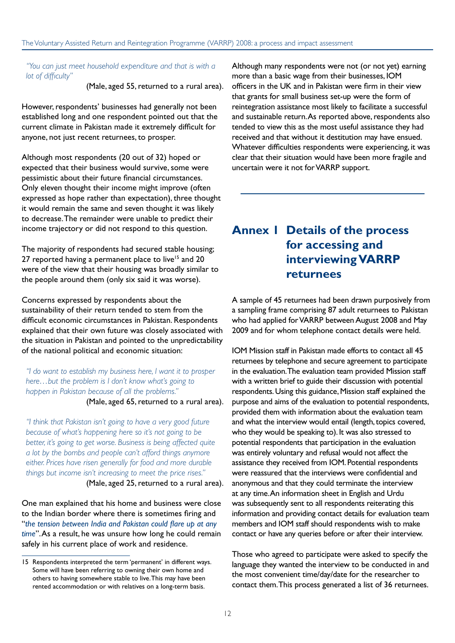*"You can just meet household expenditure and that is with a lot of difficulty"* 

(Male, aged 55, returned to a rural area).

However, respondents' businesses had generally not been established long and one respondent pointed out that the current climate in Pakistan made it extremely difficult for anyone, not just recent returnees, to prosper.

Although most respondents (20 out of 32) hoped or expected that their business would survive, some were pessimistic about their future financial circumstances. Only eleven thought their income might improve (often expressed as hope rather than expectation), three thought it would remain the same and seven thought it was likely to decrease. The remainder were unable to predict their income trajectory or did not respond to this question.

The majority of respondents had secured stable housing; 27 reported having a permanent place to live<sup>15</sup> and 20 were of the view that their housing was broadly similar to the people around them (only six said it was worse).

Concerns expressed by respondents about the sustainability of their return tended to stem from the difficult economic circumstances in Pakistan. Respondents explained that their own future was closely associated with the situation in Pakistan and pointed to the unpredictability of the national political and economic situation:

*"I do want to establish my business here, I want it to prosper here…but the problem is I don't know what's going to happen in Pakistan because of all the problems."* 

(Male, aged 65, returned to a rural area).

*"I think that Pakistan isn't going to have a very good future because of what's happening here so it's not going to be better, it's going to get worse. Business is being affected quite a lot by the bombs and people can't afford things anymore either. Prices have risen generally for food and more durable things but income isn't increasing to meet the price rises."*  (Male, aged 25, returned to a rural area).

One man explained that his home and business were close to the Indian border where there is sometimes firing and "*the tension between India and Pakistan could flare up at any time*". As a result, he was unsure how long he could remain safely in his current place of work and residence.

Although many respondents were not (or not yet) earning more than a basic wage from their businesses, IOM officers in the UK and in Pakistan were firm in their view that grants for small business set-up were the form of reintegration assistance most likely to facilitate a successful and sustainable return. As reported above, respondents also tended to view this as the most useful assistance they had received and that without it destitution may have ensued. Whatever difficulties respondents were experiencing, it was clear that their situation would have been more fragile and uncertain were it not for VARRP support.

# **Annex 1 Details of the process for accessing and interviewing VARRP returnees**

A sample of 45 returnees had been drawn purposively from a sampling frame comprising 87 adult returnees to Pakistan who had applied for VARRP between August 2008 and May 2009 and for whom telephone contact details were held.

IOM Mission staff in Pakistan made efforts to contact all 45 returnees by telephone and secure agreement to participate in the evaluation. The evaluation team provided Mission staff with a written brief to guide their discussion with potential respondents. Using this guidance, Mission staff explained the purpose and aims of the evaluation to potential respondents, provided them with information about the evaluation team and what the interview would entail (length, topics covered, who they would be speaking to). It was also stressed to potential respondents that participation in the evaluation was entirely voluntary and refusal would not affect the assistance they received from IOM. Potential respondents were reassured that the interviews were confidential and anonymous and that they could terminate the interview at any time. An information sheet in English and Urdu was subsequently sent to all respondents reiterating this information and providing contact details for evaluation team members and IOM staff should respondents wish to make contact or have any queries before or after their interview.

Those who agreed to participate were asked to specify the language they wanted the interview to be conducted in and the most convenient time/day/date for the researcher to contact them. This process generated a list of 36 returnees.

<sup>15</sup> Respondents interpreted the term 'permanent' in different ways. Some will have been referring to owning their own home and others to having somewhere stable to live. This may have been rented accommodation or with relatives on a long-term basis.